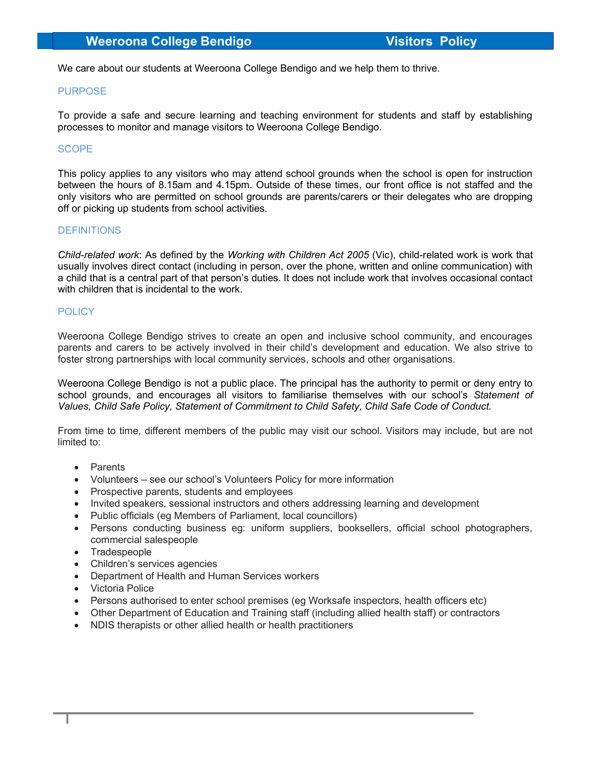We care about our students at Weeroona College Bendigo and we help them to thrive.

# PURPOSE

To provide a safe and secure learning and teaching environment for students and staff by establishing processes to monitor and manage visitors to Weeroona College Bendigo.

# **SCOPE**

This policy applies to any visitors who may attend school grounds when the school is open for instruction between the hours of 8.15am and 4.15pm. Outside of these times, our front office is not staffed and the only visitors who are permitted on school grounds are parents/carers or their delegates who are dropping off or picking up students from school activities.

### **DEFINITIONS**

Child-related work: As defined by the Working with Children Act 2005 (Vic), child-related work is work that usually involves direct contact (including in person, over the phone, written and online communication) with a child that is a central part of that person's duties. It does not include work that involves occasional contact with children that is incidental to the work.

# **POLICY**

Weeroona College Bendigo strives to create an open and inclusive school community, and encourages parents and carers to be actively involved in their child's development and education. We also strive to foster strong partnerships with local community services, schools and other organisations.

Weeroona College Bendigo is not a public place. The principal has the authority to permit or deny entry to school grounds, and encourages all visitors to familiarise themselves with our school's Statement of Values, Child Safe Policy, Statement of Commitment to Child Safety, Child Safe Code of Conduct.

From time to time, different members of the public may visit our school. Visitors may include, but are not limited to:

- Parents
- Volunteers see our school's Volunteers Policy for more information
- Prospective parents, students and employees
- Invited speakers, sessional instructors and others addressing learning and development
- Public officials (eg Members of Parliament, local councillors)
- Persons conducting business eg: uniform suppliers, booksellers, official school photographers, commercial salespeople
- Tradespeople
- Children's services agencies
- Department of Health and Human Services workers
- Victoria Police
- Persons authorised to enter school premises (eg Worksafe inspectors, health officers etc)
- Other Department of Education and Training staff (including allied health staff) or contractors
- NDIS therapists or other allied health or health practitioners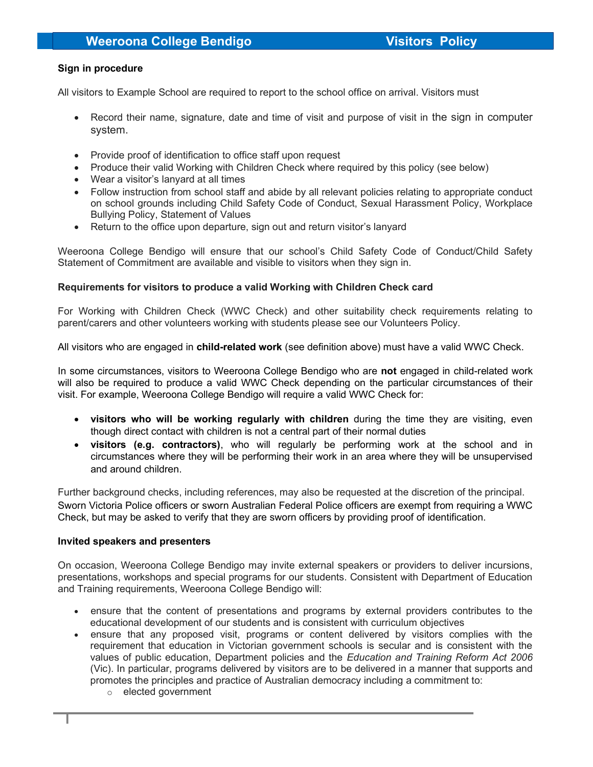### Sign in procedure

All visitors to Example School are required to report to the school office on arrival. Visitors must

- Record their name, signature, date and time of visit and purpose of visit in the sign in computer system.
- Provide proof of identification to office staff upon request
- Produce their valid Working with Children Check where required by this policy (see below)
- Wear a visitor's lanyard at all times
- Follow instruction from school staff and abide by all relevant policies relating to appropriate conduct on school grounds including Child Safety Code of Conduct, Sexual Harassment Policy, Workplace Bullying Policy, Statement of Values
- Return to the office upon departure, sign out and return visitor's lanyard

Weeroona College Bendigo will ensure that our school's Child Safety Code of Conduct/Child Safety Statement of Commitment are available and visible to visitors when they sign in.

### Requirements for visitors to produce a valid Working with Children Check card

For Working with Children Check (WWC Check) and other suitability check requirements relating to parent/carers and other volunteers working with students please see our Volunteers Policy.

All visitors who are engaged in child-related work (see definition above) must have a valid WWC Check.

In some circumstances, visitors to Weeroona College Bendigo who are not engaged in child-related work will also be required to produce a valid WWC Check depending on the particular circumstances of their visit. For example, Weeroona College Bendigo will require a valid WWC Check for:

- visitors who will be working regularly with children during the time they are visiting, even though direct contact with children is not a central part of their normal duties
- visitors (e.g. contractors), who will regularly be performing work at the school and in circumstances where they will be performing their work in an area where they will be unsupervised and around children.

Further background checks, including references, may also be requested at the discretion of the principal. Sworn Victoria Police officers or sworn Australian Federal Police officers are exempt from requiring a WWC Check, but may be asked to verify that they are sworn officers by providing proof of identification.

#### Invited speakers and presenters

On occasion, Weeroona College Bendigo may invite external speakers or providers to deliver incursions, presentations, workshops and special programs for our students. Consistent with Department of Education and Training requirements, Weeroona College Bendigo will:

- ensure that the content of presentations and programs by external providers contributes to the educational development of our students and is consistent with curriculum objectives
- ensure that any proposed visit, programs or content delivered by visitors complies with the requirement that education in Victorian government schools is secular and is consistent with the values of public education, Department policies and the Education and Training Reform Act 2006 (Vic). In particular, programs delivered by visitors are to be delivered in a manner that supports and promotes the principles and practice of Australian democracy including a commitment to:
	- o elected government